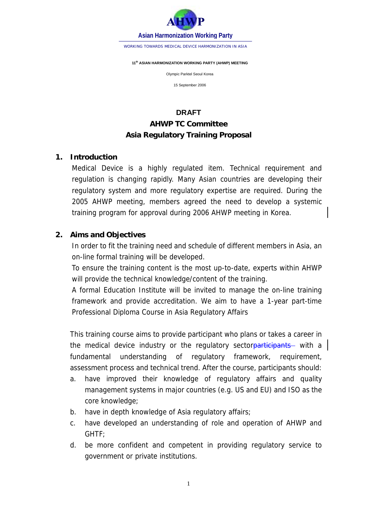

WORKING TOWARDS MEDICAL DEVICE HARMONIZATION IN ASIA

#### **11th ASIAN HARMONIZATION WORKING PARTY (AHWP) MEETING**

Olympic Parktel Seoul Korea

15 September 2006

# **DRAFT AHWP TC Committee Asia Regulatory Training Proposal**

#### **1. Introduction**

Medical Device is a highly regulated item. Technical requirement and regulation is changing rapidly. Many Asian countries are developing their regulatory system and more regulatory expertise are required. During the 2005 AHWP meeting, members agreed the need to develop a systemic training program for approval during 2006 AHWP meeting in Korea.

### **2. Aims and Objectives**

In order to fit the training need and schedule of different members in Asia, an on-line formal training will be developed.

To ensure the training content is the most up-to-date, experts within AHWP will provide the technical knowledge/content of the training.

A formal Education Institute will be invited to manage the on-line training framework and provide accreditation. We aim to have a 1-year part-time Professional Diploma Course in Asia Regulatory Affairs

This training course aims to provide participant who plans or takes a career in the medical device industry or the regulatory sectorparticipants with a fundamental understanding of regulatory framework, requirement, assessment process and technical trend. After the course, participants should:

- a. have improved their knowledge of regulatory affairs and quality management systems in major countries (e.g. US and EU) and ISO as the core knowledge;
- b. have in depth knowledge of Asia regulatory affairs;
- c. have developed an understanding of role and operation of AHWP and GHTF;
- d. be more confident and competent in providing regulatory service to government or private institutions.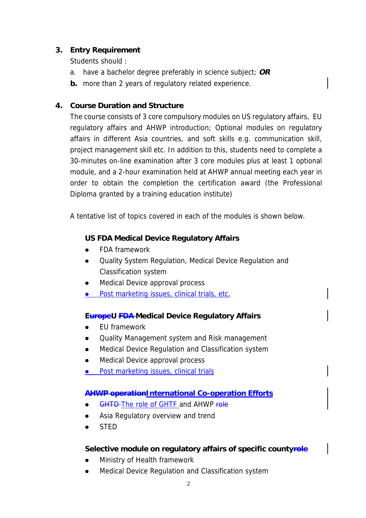### **3. Entry Requirement**

Students should :

- a. have a bachelor degree preferably in science subject; **OR**
- **b.** more than 2 years of regulatory related experience.

### **4. Course Duration and Structure**

The course consists of 3 core compulsory modules on US regulatory affairs, EU regulatory affairs and AHWP introduction; Optional modules on regulatory affairs in different Asia countries, and soft skills e.g. communication skill, project management skill etc. In addition to this, students need to complete a 30-minutes on-line examination after 3 core modules plus at least 1 optional module, and a 2-hour examination held at AHWP annual meeting each year in order to obtain the completion the certification award (the Professional Diploma granted by a training education institute)

A tentative list of topics covered in each of the modules is shown below.

## **US FDA Medical Device Regulatory Affairs**

- ! FDA framework
- Quality System Regulation, Medical Device Regulation and Classification system
- Medical Device approval process
- **.** Post marketing issues, clinical trials, etc.

### **EuropeU FDA Medical Device Regulatory Affairs**

- ! EU framework
- ! Quality Management system and Risk management
- **.** Medical Device Regulation and Classification system
- ! Medical Device approval process
- **.** Post marketing issues, clinical trials

### **AHWP operationInternational Co-operation Efforts**

- GHTD The role of GHTF and AHWP role
- Asia Regulatory overview and trend
- ! STED

### Selective module on regulatory affairs of specific countyrele

- Ministry of Health framework
- Medical Device Regulation and Classification system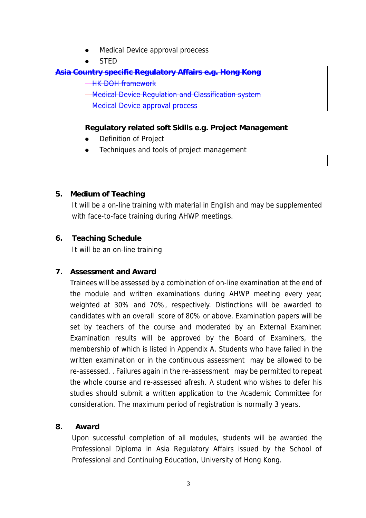- ! Medical Device approval proecess
- STED

### **Asia Country specific Regulatory Affairs e.g. Hong Kong**

**HK DOH framework** 

**Medical Device Regulation and Classification system** 

**Medical Device approval process** 

### **Regulatory related soft Skills e.g. Project Management**

- Definition of Project
- Techniques and tools of project management

### **5. Medium of Teaching**

It will be a on-line training with material in English and may be supplemented with face-to-face training during AHWP meetings.

### **6. Teaching Schedule**

It will be an on-line training

## **7. Assessment and Award**

Trainees will be assessed by a combination of on-line examination at the end of the module and written examinations during AHWP meeting every year, weighted at 30% and 70%, respectively. Distinctions will be awarded to candidates with an overall score of 80% or above. Examination papers will be set by teachers of the course and moderated by an External Examiner. Examination results will be approved by the Board of Examiners, the membership of which is listed in Appendix A. Students who have failed in the written examination or in the continuous assessment may be allowed to be re-assessed. . Failures again in the re-assessment may be permitted to repeat the whole course and re-assessed afresh. A student who wishes to defer his studies should submit a written application to the Academic Committee for consideration. The maximum period of registration is normally 3 years.

### **8. Award**

Upon successful completion of all modules, students will be awarded the Professional Diploma in Asia Regulatory Affairs issued by the School of Professional and Continuing Education, University of Hong Kong.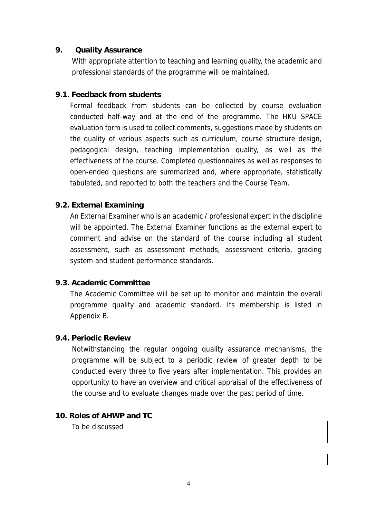#### **9. Quality Assurance**

With appropriate attention to teaching and learning quality, the academic and professional standards of the programme will be maintained.

#### **9.1. Feedback from students**

Formal feedback from students can be collected by course evaluation conducted half-way and at the end of the programme. The HKU SPACE evaluation form is used to collect comments, suggestions made by students on the quality of various aspects such as curriculum, course structure design, pedagogical design, teaching implementation quality, as well as the effectiveness of the course. Completed questionnaires as well as responses to open-ended questions are summarized and, where appropriate, statistically tabulated, and reported to both the teachers and the Course Team.

#### **9.2. External Examining**

An External Examiner who is an academic / professional expert in the discipline will be appointed. The External Examiner functions as the external expert to comment and advise on the standard of the course including all student assessment, such as assessment methods, assessment criteria, grading system and student performance standards.

#### **9.3. Academic Committee**

The Academic Committee will be set up to monitor and maintain the overall programme quality and academic standard. Its membership is listed in Appendix B.

#### **9.4. Periodic Review**

Notwithstanding the regular ongoing quality assurance mechanisms, the programme will be subject to a periodic review of greater depth to be conducted every three to five years after implementation. This provides an opportunity to have an overview and critical appraisal of the effectiveness of the course and to evaluate changes made over the past period of time.

#### **10. Roles of AHWP and TC**

To be discussed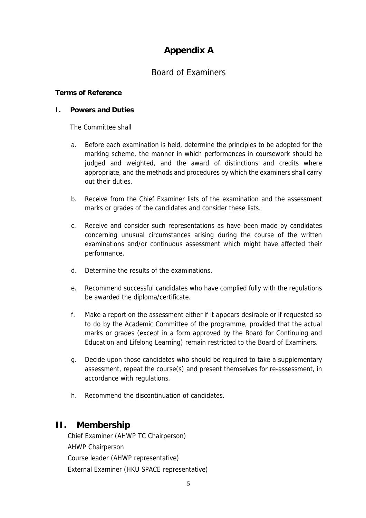# **Appendix A**

## Board of Examiners

#### **Terms of Reference**

#### **I. Powers and Duties**

The Committee shall

- a. Before each examination is held, determine the principles to be adopted for the marking scheme, the manner in which performances in coursework should be judged and weighted, and the award of distinctions and credits where appropriate, and the methods and procedures by which the examiners shall carry out their duties.
- b. Receive from the Chief Examiner lists of the examination and the assessment marks or grades of the candidates and consider these lists.
- c. Receive and consider such representations as have been made by candidates concerning unusual circumstances arising during the course of the written examinations and/or continuous assessment which might have affected their performance.
- d. Determine the results of the examinations.
- e. Recommend successful candidates who have complied fully with the regulations be awarded the diploma/certificate.
- f. Make a report on the assessment either if it appears desirable or if requested so to do by the Academic Committee of the programme, provided that the actual marks or grades (except in a form approved by the Board for Continuing and Education and Lifelong Learning) remain restricted to the Board of Examiners.
- g. Decide upon those candidates who should be required to take a supplementary assessment, repeat the course(s) and present themselves for re-assessment, in accordance with regulations.
- h. Recommend the discontinuation of candidates.

### **II. Membership**

Chief Examiner (AHWP TC Chairperson) AHWP Chairperson Course leader (AHWP representative) External Examiner (HKU SPACE representative)